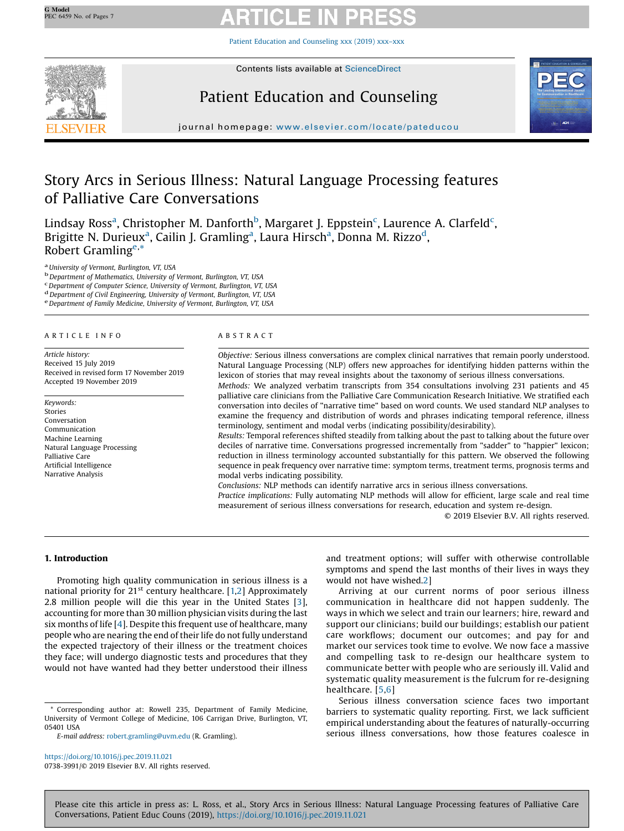Patient Education and [Counseling](https://doi.org/10.1016/j.pec.2019.11.021) xxx (2019) xxx–xxx



Contents lists available at [ScienceDirect](http://www.sciencedirect.com/science/journal/07383991)

# Patient Education and Counseling



journal homepage: <www.elsevier.com/locate/pateducou>

# Story Arcs in Serious Illness: Natural Language Processing features of Palliative Care Conversations

Lindsay Ross<sup>a</sup>, Christopher M. Danforth<sup>b</sup>, Margaret J. Eppstein<sup>c</sup>, Laurence A. Clarfeld<sup>c</sup>, Brigitte N. Durieux<sup>a</sup>, Cailin J. Gramling<sup>a</sup>, Laura Hirsch<sup>a</sup>, Donna M. Rizzo<sup>d</sup>, Robert Gramling<sup>e,\*</sup>

<sup>a</sup> University of Vermont, Burlington, VT, USA<br><sup>b</sup> Department of Mathematics, University of Vermont, Burlington, VT, USA<br><sup>c</sup> Department of Computer Science, University of Vermont, Burlington, VT, USA

<sup>d</sup> Department of Civil Engineering, University of Vermont, Burlington, VT, USA<br><sup>e</sup> Department of Family Medicine, University of Vermont, Burlington, VT, USA

# A R T I C L E I N F O

Article history: Received 15 July 2019 Received in revised form 17 November 2019 Accepted 19 November 2019

Keywords: Stories Conversation Communication Machine Learning Natural Language Processing Palliative Care Artificial Intelligence Narrative Analysis

# A B S T R A C T

Objective: Serious illness conversations are complex clinical narratives that remain poorly understood. Natural Language Processing (NLP) offers new approaches for identifying hidden patterns within the lexicon of stories that may reveal insights about the taxonomy of serious illness conversations. Methods: We analyzed verbatim transcripts from 354 consultations involving 231 patients and 45 palliative care clinicians from the Palliative Care Communication Research Initiative. We stratified each

conversation into deciles of "narrative time" based on word counts. We used standard NLP analyses to examine the frequency and distribution of words and phrases indicating temporal reference, illness terminology, sentiment and modal verbs (indicating possibility/desirability).

Results: Temporal references shifted steadily from talking about the past to talking about the future over deciles of narrative time. Conversations progressed incrementally from "sadder" to "happier" lexicon; reduction in illness terminology accounted substantially for this pattern. We observed the following sequence in peak frequency over narrative time: symptom terms, treatment terms, prognosis terms and modal verbs indicating possibility.

Conclusions: NLP methods can identify narrative arcs in serious illness conversations.

Practice implications: Fully automating NLP methods will allow for efficient, large scale and real time measurement of serious illness conversations for research, education and system re-design.

© 2019 Elsevier B.V. All rights reserved.

# 1. Introduction

Promoting high quality communication in serious illness is a national priority for 21<sup>st</sup> century healthcare. [[1,2](#page-6-0)] Approximately 2.8 million people will die this year in the United States [[3](#page-6-0)], accounting for more than 30 million physician visits during the last six months of life [[4](#page-6-0)]. Despite this frequent use of healthcare, many people who are nearing the end of their life do not fully understand the expected trajectory of their illness or the treatment choices they face; will undergo diagnostic tests and procedures that they would not have wanted had they better understood their illness

<https://doi.org/10.1016/j.pec.2019.11.021> 0738-3991/© 2019 Elsevier B.V. All rights reserved. and treatment options; will suffer with otherwise controllable symptoms and spend the last months of their lives in ways they would not have wished[.2](#page-6-0)]

Arriving at our current norms of poor serious illness communication in healthcare did not happen suddenly. The ways in which we select and train our learners; hire, reward and support our clinicians; build our buildings; establish our patient care workflows; document our outcomes; and pay for and market our services took time to evolve. We now face a massive and compelling task to re-design our healthcare system to communicate better with people who are seriously ill. Valid and systematic quality measurement is the fulcrum for re-designing healthcare. [\[5](#page-6-0),[6](#page-6-0)]

Serious illness conversation science faces two important barriers to systematic quality reporting. First, we lack sufficient empirical understanding about the features of naturally-occurring serious illness conversations, how those features coalesce in

Corresponding author at: Rowell 235, Department of Family Medicine, University of Vermont College of Medicine, 106 Carrigan Drive, Burlington, VT, 05401 USA

E-mail address: [robert.gramling@uvm.edu](mailto:robert.gramling@uvm.edu) (R. Gramling).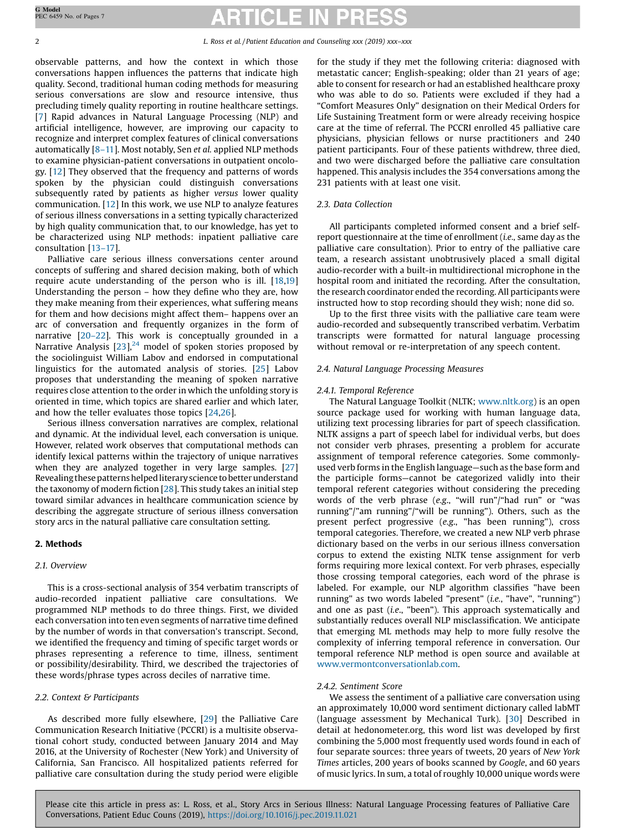observable patterns, and how the context in which those conversations happen influences the patterns that indicate high quality. Second, traditional human coding methods for measuring serious conversations are slow and resource intensive, thus precluding timely quality reporting in routine healthcare settings. [[7](#page-6-0)] Rapid advances in Natural Language Processing (NLP) and artificial intelligence, however, are improving our capacity to recognize and interpret complex features of clinical conversations automatically [8–[11](#page-6-0)]. Most notably, Sen et al. applied NLP methods to examine physician-patient conversations in outpatient oncology. [\[12](#page-6-0)] They observed that the frequency and patterns of words spoken by the physician could distinguish conversations subsequently rated by patients as higher versus lower quality communication. [\[12](#page-6-0)] In this work, we use NLP to analyze features of serious illness conversations in a setting typically characterized by high quality communication that, to our knowledge, has yet to be characterized using NLP methods: inpatient palliative care consultation [13–[17\]](#page-6-0).

Palliative care serious illness conversations center around concepts of suffering and shared decision making, both of which require acute understanding of the person who is ill. [[18,19\]](#page-6-0) Understanding the person – how they define who they are, how they make meaning from their experiences, what suffering means for them and how decisions might affect them– happens over an arc of conversation and frequently organizes in the form of narrative [20–[22\]](#page-6-0). This work is conceptually grounded in a Narrative Analysis  $[23]$  $[23]$ ,<sup>[24](#page-6-0)</sup> model of spoken stories proposed by the sociolinguist William Labov and endorsed in computational linguistics for the automated analysis of stories. [\[25\]](#page-6-0) Labov proposes that understanding the meaning of spoken narrative requires close attention to the order in which the unfolding story is oriented in time, which topics are shared earlier and which later, and how the teller evaluates those topics [[24,26](#page-6-0)].

Serious illness conversation narratives are complex, relational and dynamic. At the individual level, each conversation is unique. However, related work observes that computational methods can identify lexical patterns within the trajectory of unique narratives when they are analyzed together in very large samples. [\[27](#page-6-0)] Revealing these patterns helped literary science to better understand the taxonomy of modern fiction [\[28](#page-6-0)]. This study takes an initial step toward similar advances in healthcare communication science by describing the aggregate structure of serious illness conversation story arcs in the natural palliative care consultation setting.

# 2. Methods

# 2.1. Overview

This is a cross-sectional analysis of 354 verbatim transcripts of audio-recorded inpatient palliative care consultations. We programmed NLP methods to do three things. First, we divided each conversation into ten even segments of narrative time defined by the number of words in that conversation's transcript. Second, we identified the frequency and timing of specific target words or phrases representing a reference to time, illness, sentiment or possibility/desirability. Third, we described the trajectories of these words/phrase types across deciles of narrative time.

# 2.2. Context & Participants

As described more fully elsewhere, [[29](#page-6-0)] the Palliative Care Communication Research Initiative (PCCRI) is a multisite observational cohort study, conducted between January 2014 and May 2016, at the University of Rochester (New York) and University of California, San Francisco. All hospitalized patients referred for palliative care consultation during the study period were eligible

for the study if they met the following criteria: diagnosed with metastatic cancer; English-speaking; older than 21 years of age; able to consent for research or had an established healthcare proxy who was able to do so. Patients were excluded if they had a "Comfort Measures Only" designation on their Medical Orders for Life Sustaining Treatment form or were already receiving hospice care at the time of referral. The PCCRI enrolled 45 palliative care physicians, physician fellows or nurse practitioners and 240 patient participants. Four of these patients withdrew, three died, and two were discharged before the palliative care consultation happened. This analysis includes the 354 conversations among the 231 patients with at least one visit.

# 2.3. Data Collection

All participants completed informed consent and a brief selfreport questionnaire at the time of enrollment (i.e., same day as the palliative care consultation). Prior to entry of the palliative care team, a research assistant unobtrusively placed a small digital audio-recorder with a built-in multidirectional microphone in the hospital room and initiated the recording. After the consultation, the research coordinator ended the recording. All participants were instructed how to stop recording should they wish; none did so.

Up to the first three visits with the palliative care team were audio-recorded and subsequently transcribed verbatim. Verbatim transcripts were formatted for natural language processing without removal or re-interpretation of any speech content.

# 2.4. Natural Language Processing Measures

### 2.4.1. Temporal Reference

The Natural Language Toolkit (NLTK; [www.nltk.org](http://www.nltk.org)) is an open source package used for working with human language data, utilizing text processing libraries for part of speech classification. NLTK assigns a part of speech label for individual verbs, but does not consider verb phrases, presenting a problem for accurate assignment of temporal reference categories. Some commonlyused verb forms in the English language—such as the base form and the participle forms—cannot be categorized validly into their temporal referent categories without considering the preceding words of the verb phrase (e.g., "will run"/"had run" or "was running"/"am running"/"will be running"). Others, such as the present perfect progressive (e.g., "has been running"), cross temporal categories. Therefore, we created a new NLP verb phrase dictionary based on the verbs in our serious illness conversation corpus to extend the existing NLTK tense assignment for verb forms requiring more lexical context. For verb phrases, especially those crossing temporal categories, each word of the phrase is labeled. For example, our NLP algorithm classifies "have been running" as two words labeled "present" (i.e., "have", "running") and one as past (i.e., "been"). This approach systematically and substantially reduces overall NLP misclassification. We anticipate that emerging ML methods may help to more fully resolve the complexity of inferring temporal reference in conversation. Our temporal reference NLP method is open source and available at [www.vermontconversationlab.com](http://www.vermontconversationlab.com).

## 2.4.2. Sentiment Score

We assess the sentiment of a palliative care conversation using an approximately 10,000 word sentiment dictionary called labMT (language assessment by Mechanical Turk). [[30](#page-6-0)] Described in detail at hedonometer.org, this word list was developed by first combining the 5,000 most frequently used words found in each of four separate sources: three years of tweets, 20 years of New York Times articles, 200 years of books scanned by Google, and 60 years of music lyrics. In sum, a total of roughly 10,000 unique words were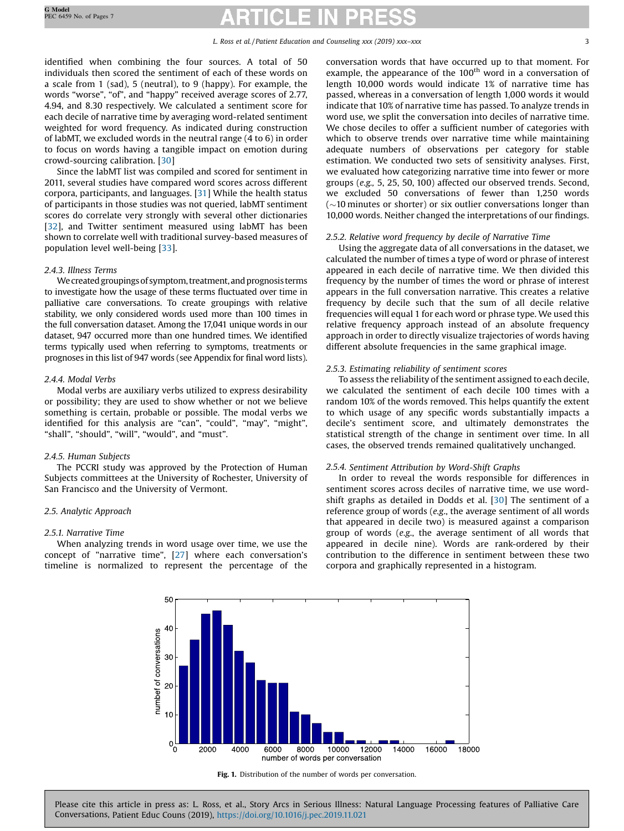# L. Ross et al. / Patient Education and Counseling xxx (2019) xxx–xxx 3 3

<span id="page-2-0"></span>identified when combining the four sources. A total of 50 individuals then scored the sentiment of each of these words on a scale from 1 (sad), 5 (neutral), to 9 (happy). For example, the words "worse", "of", and "happy" received average scores of 2.77, 4.94, and 8.30 respectively. We calculated a sentiment score for each decile of narrative time by averaging word-related sentiment weighted for word frequency. As indicated during construction of labMT, we excluded words in the neutral range (4 to 6) in order to focus on words having a tangible impact on emotion during crowd-sourcing calibration. [[30\]](#page-6-0)

Since the labMT list was compiled and scored for sentiment in 2011, several studies have compared word scores across different corpora, participants, and languages. [[31](#page-6-0)] While the health status of participants in those studies was not queried, labMT sentiment scores do correlate very strongly with several other dictionaries [[32](#page-6-0)], and Twitter sentiment measured using labMT has been shown to correlate well with traditional survey-based measures of population level well-being [\[33](#page-6-0)].

# 2.4.3. Illness Terms

We created groupings of symptom, treatment, and prognosis terms to investigate how the usage of these terms fluctuated over time in palliative care conversations. To create groupings with relative stability, we only considered words used more than 100 times in the full conversation dataset. Among the 17,041 unique words in our dataset, 947 occurred more than one hundred times. We identified terms typically used when referring to symptoms, treatments or prognoses in this list of 947 words (see Appendix for final word lists).

# 2.4.4. Modal Verbs

Modal verbs are auxiliary verbs utilized to express desirability or possibility; they are used to show whether or not we believe something is certain, probable or possible. The modal verbs we identified for this analysis are "can", "could", "may", "might", "shall", "should", "will", "would", and "must".

### 2.4.5. Human Subjects

The PCCRI study was approved by the Protection of Human Subjects committees at the University of Rochester, University of San Francisco and the University of Vermont.

# 2.5. Analytic Approach

## 2.5.1. Narrative Time

When analyzing trends in word usage over time, we use the concept of "narrative time", [\[27\]](#page-6-0) where each conversation's timeline is normalized to represent the percentage of the conversation words that have occurred up to that moment. For example, the appearance of the  $100<sup>th</sup>$  word in a conversation of length 10,000 words would indicate 1% of narrative time has passed, whereas in a conversation of length 1,000 words it would indicate that 10% of narrative time has passed. To analyze trends in word use, we split the conversation into deciles of narrative time. We chose deciles to offer a sufficient number of categories with which to observe trends over narrative time while maintaining adequate numbers of observations per category for stable estimation. We conducted two sets of sensitivity analyses. First, we evaluated how categorizing narrative time into fewer or more groups (e.g., 5, 25, 50, 100) affected our observed trends. Second, we excluded 50 conversations of fewer than 1,250 words  $\sim$  10 minutes or shorter) or six outlier conversations longer than 10,000 words. Neither changed the interpretations of our findings.

### 2.5.2. Relative word frequency by decile of Narrative Time

Using the aggregate data of all conversations in the dataset, we calculated the number of times a type of word or phrase of interest appeared in each decile of narrative time. We then divided this frequency by the number of times the word or phrase of interest appears in the full conversation narrative. This creates a relative frequency by decile such that the sum of all decile relative frequencies will equal 1 for each word or phrase type. We used this relative frequency approach instead of an absolute frequency approach in order to directly visualize trajectories of words having different absolute frequencies in the same graphical image.

# 2.5.3. Estimating reliability of sentiment scores

To assess the reliability of the sentiment assigned to each decile, we calculated the sentiment of each decile 100 times with a random 10% of the words removed. This helps quantify the extent to which usage of any specific words substantially impacts a decile's sentiment score, and ultimately demonstrates the statistical strength of the change in sentiment over time. In all cases, the observed trends remained qualitatively unchanged.

### 2.5.4. Sentiment Attribution by Word-Shift Graphs

In order to reveal the words responsible for differences in sentiment scores across deciles of narrative time, we use wordshift graphs as detailed in Dodds et al. [[30](#page-6-0)] The sentiment of a reference group of words (e.g., the average sentiment of all words that appeared in decile two) is measured against a comparison group of words (e.g., the average sentiment of all words that appeared in decile nine). Words are rank-ordered by their contribution to the difference in sentiment between these two corpora and graphically represented in a histogram.



Fig. 1. Distribution of the number of words per conversation.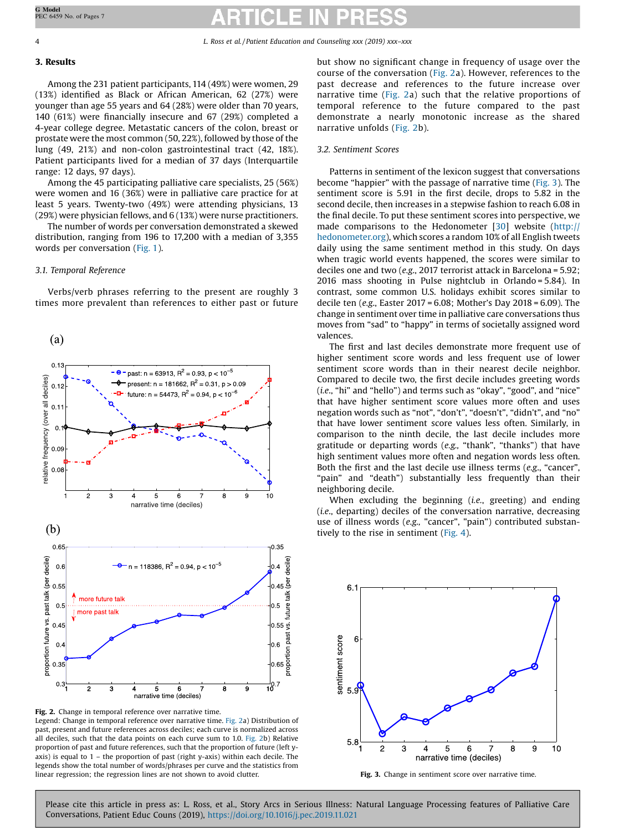4 L. Ross et al. / Patient Education and Counseling xxx (2019) xxx–xxx

# 3. Results

Among the 231 patient participants, 114 (49%) were women, 29 (13%) identified as Black or African American, 62 (27%) were younger than age 55 years and 64 (28%) were older than 70 years, 140 (61%) were financially insecure and 67 (29%) completed a 4-year college degree. Metastatic cancers of the colon, breast or prostate were the most common (50, 22%), followed by those of the lung (49, 21%) and non-colon gastrointestinal tract (42, 18%). Patient participants lived for a median of 37 days (Interquartile range: 12 days, 97 days).

Among the 45 participating palliative care specialists, 25 (56%) were women and 16 (36%) were in palliative care practice for at least 5 years. Twenty-two (49%) were attending physicians, 13 (29%) were physician fellows, and 6 (13%) were nurse practitioners.

The number of words per conversation demonstrated a skewed distribution, ranging from 196 to 17,200 with a median of 3,355 words per conversation [\(Fig.](#page-2-0) 1).

# 3.1. Temporal Reference

Verbs/verb phrases referring to the present are roughly 3 times more prevalent than references to either past or future



Fig. 2. Change in temporal reference over narrative time. Legend: Change in temporal reference over narrative time. Fig. 2a) Distribution of past, present and future references across deciles; each curve is normalized across all deciles, such that the data points on each curve sum to 1.0. Fig. 2b) Relative proportion of past and future references, such that the proportion of future (left yaxis) is equal to  $1$  – the proportion of past (right y-axis) within each decile. The legends show the total number of words/phrases per curve and the statistics from linear regression; the regression lines are not shown to avoid clutter.

but show no significant change in frequency of usage over the course of the conversation (Fig. 2a). However, references to the past decrease and references to the future increase over narrative time (Fig. 2a) such that the relative proportions of temporal reference to the future compared to the past demonstrate a nearly monotonic increase as the shared narrative unfolds (Fig. 2b).

# 3.2. Sentiment Scores

Patterns in sentiment of the lexicon suggest that conversations become "happier" with the passage of narrative time (Fig. 3). The sentiment score is 5.91 in the first decile, drops to 5.82 in the second decile, then increases in a stepwise fashion to reach 6.08 in the final decile. To put these sentiment scores into perspective, we made comparisons to the Hedonometer [\[30](#page-6-0)] website ([http://](http://hedonometer.org) [hedonometer.org](http://hedonometer.org)), which scores a random 10% of all English tweets daily using the same sentiment method in this study. On days when tragic world events happened, the scores were similar to deciles one and two (e.g., 2017 terrorist attack in Barcelona = 5.92; 2016 mass shooting in Pulse nightclub in Orlando = 5.84). In contrast, some common U.S. holidays exhibit scores similar to decile ten (e.g., Easter 2017 = 6.08; Mother's Day 2018 = 6.09). The change in sentiment over time in palliative care conversations thus moves from "sad" to "happy" in terms of societally assigned word valences.

The first and last deciles demonstrate more frequent use of higher sentiment score words and less frequent use of lower sentiment score words than in their nearest decile neighbor. Compared to decile two, the first decile includes greeting words (i.e., "hi" and "hello") and terms such as "okay", "good", and "nice" that have higher sentiment score values more often and uses negation words such as "not", "don't", "doesn't", "didn't", and "no" that have lower sentiment score values less often. Similarly, in comparison to the ninth decile, the last decile includes more gratitude or departing words (e.g., "thank", "thanks") that have high sentiment values more often and negation words less often. Both the first and the last decile use illness terms (e.g., "cancer", "pain" and "death") substantially less frequently than their neighboring decile.

When excluding the beginning (i.e., greeting) and ending (i.e., departing) deciles of the conversation narrative, decreasing use of illness words (e.g., "cancer", "pain") contributed substantively to the rise in sentiment ([Fig.](#page-4-0) 4).



Fig. 3. Change in sentiment score over narrative time.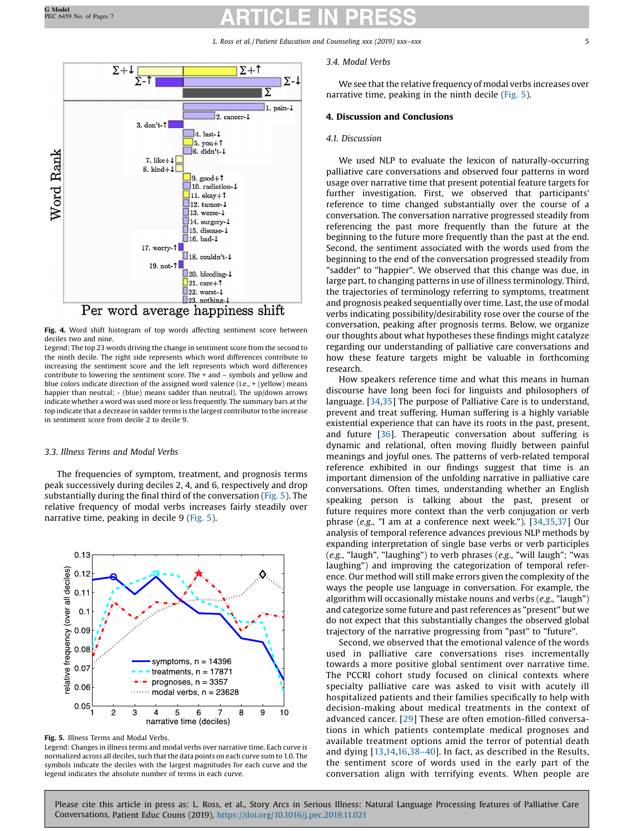L. Ross et al. / Patient Education and Counseling xxx (2019) xxx–xxx 5

<span id="page-4-0"></span>

Fig. 4. Word shift histogram of top words affecting sentiment score between deciles two and nine.

Legend: The top 23 words driving the change in sentiment score from the second to the ninth decile. The right side represents which word differences contribute to increasing the sentiment score and the left represents which word differences contribute to lowering the sentiment score. The + and – symbols and yellow and blue colors indicate direction of the assigned word valence (i.e., + (yellow) means happier than neutral; - (blue) means sadder than neutral). The up/down arrows indicate whether a word was used more or less frequently. The summary bars at the top indicate that a decrease in sadder terms is the largest contributor to the increase in sentiment score from decile 2 to decile 9.

# 3.3. Illness Terms and Modal Verbs

The frequencies of symptom, treatment, and prognosis terms peak successively during deciles 2, 4, and 6, respectively and drop substantially during the final third of the conversation (Fig. 5). The relative frequency of modal verbs increases fairly steadily over narrative time, peaking in decile 9 (Fig. 5).



Fig. 5. Illness Terms and Modal Verbs.

Legend: Changes in illness terms and modal verbs over narrative time. Each curve is normalized across all deciles, such that the data points on each curve sum to 1.0. The symbols indicate the deciles with the largest magnitudes for each curve and the legend indicates the absolute number of terms in each curve.

# 3.4. Modal Verbs

We see that the relative frequency of modal verbs increases over narrative time, peaking in the ninth decile (Fig. 5).

# 4. Discussion and Conclusions

# 4.1. Discussion

We used NLP to evaluate the lexicon of naturally-occurring palliative care conversations and observed four patterns in word usage over narrative time that present potential feature targets for further investigation. First, we observed that participants' reference to time changed substantially over the course of a conversation. The conversation narrative progressed steadily from referencing the past more frequently than the future at the beginning to the future more frequently than the past at the end. Second, the sentiment associated with the words used from the beginning to the end of the conversation progressed steadily from "sadder" to "happier". We observed that this change was due, in large part, to changing patterns in use of illness terminology. Third, the trajectories of terminology referring to symptoms, treatment and prognosis peaked sequentially over time. Last, the use of modal verbs indicating possibility/desirability rose over the course of the conversation, peaking after prognosis terms. Below, we organize our thoughts about what hypotheses these findings might catalyze regarding our understanding of palliative care conversations and how these feature targets might be valuable in forthcoming research.

How speakers reference time and what this means in human discourse have long been foci for linguists and philosophers of language. [\[34,35\]](#page-6-0) The purpose of Palliative Care is to understand, prevent and treat suffering. Human suffering is a highly variable existential experience that can have its roots in the past, present, and future [\[36](#page-6-0)]. Therapeutic conversation about suffering is dynamic and relational, often moving fluidly between painful meanings and joyful ones. The patterns of verb-related temporal reference exhibited in our findings suggest that time is an important dimension of the unfolding narrative in palliative care conversations. Often times, understanding whether an English speaking person is talking about the past, present or future requires more context than the verb conjugation or verb phrase (e.g., "I am at a conference next week."). [[34,35,37](#page-6-0)] Our analysis of temporal reference advances previous NLP methods by expanding interpretation of single base verbs or verb participles (e.g., "laugh", "laughing") to verb phrases (e.g., "will laugh"; "was laughing") and improving the categorization of temporal reference. Our method will still make errors given the complexity of the ways the people use language in conversation. For example, the algorithm will occasionally mistake nouns and verbs (e.g., "laugh") and categorize some future and past references as "present" but we do not expect that this substantially changes the observed global trajectory of the narrative progressing from "past" to "future".

Second, we observed that the emotional valence of the words used in palliative care conversations rises incrementally towards a more positive global sentiment over narrative time. The PCCRI cohort study focused on clinical contexts where specialty palliative care was asked to visit with acutely ill hospitalized patients and their families specifically to help with decision-making about medical treatments in the context of advanced cancer. [[29](#page-6-0)] These are often emotion-filled conversations in which patients contemplate medical prognoses and available treatment options amid the terror of potential death and dying [[13](#page-6-0),[14,16](#page-6-0),38–[40\]](#page-6-0). In fact, as described in the Results, the sentiment score of words used in the early part of the conversation align with terrifying events. When people are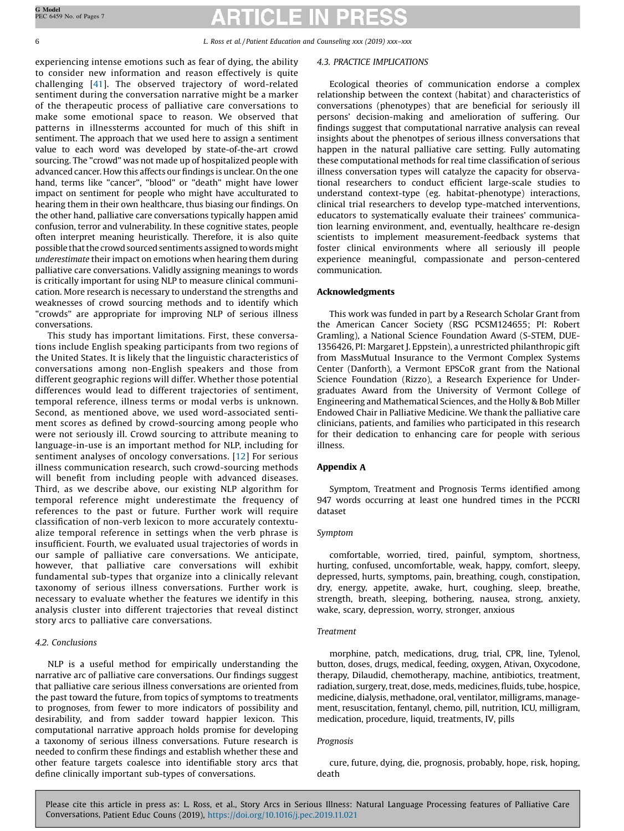6 L. Ross et al. / Patient Education and Counseling xxx (2019) xxx–xxx

experiencing intense emotions such as fear of dying, the ability to consider new information and reason effectively is quite challenging [[41\]](#page-6-0). The observed trajectory of word-related sentiment during the conversation narrative might be a marker of the therapeutic process of palliative care conversations to make some emotional space to reason. We observed that patterns in illnessterms accounted for much of this shift in sentiment. The approach that we used here to assign a sentiment value to each word was developed by state-of-the-art crowd sourcing. The "crowd" was not made up of hospitalized people with advanced cancer. How this affects our findings is unclear. On the one hand, terms like "cancer", "blood" or "death" might have lower impact on sentiment for people who might have acculturated to hearing them in their own healthcare, thus biasing our findings. On the other hand, palliative care conversations typically happen amid confusion, terror and vulnerability. In these cognitive states, people often interpret meaning heuristically. Therefore, it is also quite possible that the crowd sourced sentiments assigned to words might underestimate their impact on emotions when hearing them during palliative care conversations. Validly assigning meanings to words is critically important for using NLP to measure clinical communication. More research is necessary to understand the strengths and weaknesses of crowd sourcing methods and to identify which "crowds" are appropriate for improving NLP of serious illness conversations.

This study has important limitations. First, these conversations include English speaking participants from two regions of the United States. It is likely that the linguistic characteristics of conversations among non-English speakers and those from different geographic regions will differ. Whether those potential differences would lead to different trajectories of sentiment, temporal reference, illness terms or modal verbs is unknown. Second, as mentioned above, we used word-associated sentiment scores as defined by crowd-sourcing among people who were not seriously ill. Crowd sourcing to attribute meaning to language-in-use is an important method for NLP, including for sentiment analyses of oncology conversations. [\[12\]](#page-6-0) For serious illness communication research, such crowd-sourcing methods will benefit from including people with advanced diseases. Third, as we describe above, our existing NLP algorithm for temporal reference might underestimate the frequency of references to the past or future. Further work will require classification of non-verb lexicon to more accurately contextualize temporal reference in settings when the verb phrase is insufficient. Fourth, we evaluated usual trajectories of words in our sample of palliative care conversations. We anticipate, however, that palliative care conversations will exhibit fundamental sub-types that organize into a clinically relevant taxonomy of serious illness conversations. Further work is necessary to evaluate whether the features we identify in this analysis cluster into different trajectories that reveal distinct story arcs to palliative care conversations.

# 4.2. Conclusions

NLP is a useful method for empirically understanding the narrative arc of palliative care conversations. Our findings suggest that palliative care serious illness conversations are oriented from the past toward the future, from topics of symptoms to treatments to prognoses, from fewer to more indicators of possibility and desirability, and from sadder toward happier lexicon. This computational narrative approach holds promise for developing a taxonomy of serious illness conversations. Future research is needed to confirm these findings and establish whether these and other feature targets coalesce into identifiable story arcs that define clinically important sub-types of conversations.

## 4.3. PRACTICE IMPLICATIONS

Ecological theories of communication endorse a complex relationship between the context (habitat) and characteristics of conversations (phenotypes) that are beneficial for seriously ill persons' decision-making and amelioration of suffering. Our findings suggest that computational narrative analysis can reveal insights about the phenotpes of serious illness conversations that happen in the natural palliative care setting. Fully automating these computational methods for real time classification of serious illness conversation types will catalyze the capacity for observational researchers to conduct efficient large-scale studies to understand context-type (eg. habitat-phenotype) interactions, clinical trial researchers to develop type-matched interventions, educators to systematically evaluate their trainees' communication learning environment, and, eventually, healthcare re-design scientists to implement measurement-feedback systems that foster clinical environments where all seriously ill people experience meaningful, compassionate and person-centered communication.

# Acknowledgments

This work was funded in part by a Research Scholar Grant from the American Cancer Society (RSG PCSM124655; PI: Robert Gramling), a National Science Foundation Award (S-STEM, DUE-1356426, PI: Margaret J. Eppstein), a unrestricted philanthropic gift from MassMutual Insurance to the Vermont Complex Systems Center (Danforth), a Vermont EPSCoR grant from the National Science Foundation (Rizzo), a Research Experience for Undergraduates Award from the University of Vermont College of Engineering and Mathematical Sciences, and the Holly & Bob Miller Endowed Chair in Palliative Medicine. We thank the palliative care clinicians, patients, and families who participated in this research for their dedication to enhancing care for people with serious illness.

# Appendix A

Symptom, Treatment and Prognosis Terms identified among 947 words occurring at least one hundred times in the PCCRI dataset

## Symptom

comfortable, worried, tired, painful, symptom, shortness, hurting, confused, uncomfortable, weak, happy, comfort, sleepy, depressed, hurts, symptoms, pain, breathing, cough, constipation, dry, energy, appetite, awake, hurt, coughing, sleep, breathe, strength, breath, sleeping, bothering, nausea, strong, anxiety, wake, scary, depression, worry, stronger, anxious

# Treatment

morphine, patch, medications, drug, trial, CPR, line, Tylenol, button, doses, drugs, medical, feeding, oxygen, Ativan, Oxycodone, therapy, Dilaudid, chemotherapy, machine, antibiotics, treatment, radiation, surgery, treat, dose, meds, medicines, fluids, tube, hospice, medicine, dialysis, methadone, oral, ventilator, milligrams, management, resuscitation, fentanyl, chemo, pill, nutrition, ICU, milligram, medication, procedure, liquid, treatments, IV, pills

# Prognosis

cure, future, dying, die, prognosis, probably, hope, risk, hoping, death